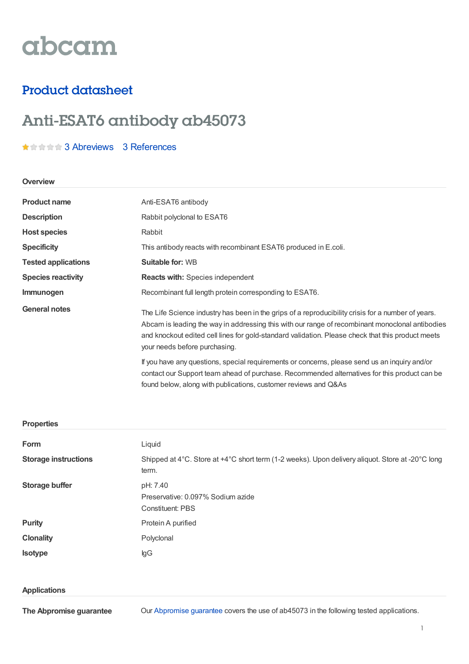# abcam

## Product datasheet

## Anti-ESAT6 antibody ab45073

### **★音音音3 [Abreviews](https://www.abcam.com/esat6-antibody-ab45073.html?productWallTab=Abreviews) 3 [References](https://www.abcam.com/esat6-antibody-ab45073.html#description_references)**

#### **Overview**

| <b>Product name</b>        | Anti-ESAT6 antibody                                                                                                                                                                                                                                                                                                                         |
|----------------------------|---------------------------------------------------------------------------------------------------------------------------------------------------------------------------------------------------------------------------------------------------------------------------------------------------------------------------------------------|
| <b>Description</b>         | Rabbit polyclonal to ESAT6                                                                                                                                                                                                                                                                                                                  |
| <b>Host species</b>        | Rabbit                                                                                                                                                                                                                                                                                                                                      |
| <b>Specificity</b>         | This antibody reacts with recombinant ESAT6 produced in E.coli.                                                                                                                                                                                                                                                                             |
| <b>Tested applications</b> | <b>Suitable for: WB</b>                                                                                                                                                                                                                                                                                                                     |
| <b>Species reactivity</b>  | <b>Reacts with: Species independent</b>                                                                                                                                                                                                                                                                                                     |
| Immunogen                  | Recombinant full length protein corresponding to ESAT6.                                                                                                                                                                                                                                                                                     |
| <b>General notes</b>       | The Life Science industry has been in the grips of a reproducibility crisis for a number of years.<br>Abcam is leading the way in addressing this with our range of recombinant monoclonal antibodies<br>and knockout edited cell lines for gold-standard validation. Please check that this product meets<br>your needs before purchasing. |
|                            | If you have any questions, special requirements or concerns, please send us an inquiry and/or<br>contact our Support team ahead of purchase. Recommended alternatives for this product can be<br>found below, along with publications, customer reviews and Q&As                                                                            |

#### **Properties**

| Form                        | Liquid                                                                                                    |
|-----------------------------|-----------------------------------------------------------------------------------------------------------|
| <b>Storage instructions</b> | Shipped at 4°C. Store at +4°C short term (1-2 weeks). Upon delivery aliquot. Store at -20°C long<br>term. |
| Storage buffer              | pH: 7.40<br>Preservative: 0.097% Sodium azide<br>Constituent: PBS                                         |
| <b>Purity</b>               | Protein A purified                                                                                        |
| <b>Clonality</b>            | Polyclonal                                                                                                |
| <b>Isotype</b>              | lgG                                                                                                       |

#### **Applications**

**The Abpromise guarantee**

Our [Abpromise](https://www.abcam.com/abpromise) guarantee covers the use of ab45073 in the following tested applications.